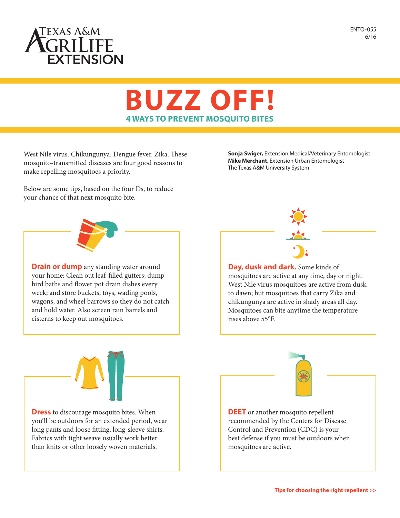

ENTO-055 6/16

## **BUZZ OFF! 4 WAYS TO PREVENT MOSQUITO BITES**

West Nile virus. Chikungunya. Dengue fever. Zika. These mosquito-transmitted diseases are four good reasons to make repelling mosquitoes a priority.

**Sonja Swiger,** Extension Medical/Veterinary Entomologist **Mike Merchant**, Extension Urban Entomologist The Texas A&M University System



Below are some tips, based on the four Ds, to reduce



**Drain or dump** any standing water around your home: Clean out leaf-filled gutters; dump bird baths and flower pot drain dishes every week; and store buckets, toys, wading pools, wagons, and wheel barrows so they do not catch and hold water. Also screen rain barrels and cisterns to keep out mosquitoes.



**Day, dusk and dark.** Some kinds of mosquitoes are active at any time, day or night. West Nile virus mosquitoes are active from dusk to dawn; but mosquitoes that carry Zika and chikungunya are active in shady areas all day. Mosquitoes can bite anytime the temperature rises above 55°F.



**Dress** to discourage mosquito bites. When you'll be outdoors for an extended period, wear long pants and loose fitting, long-sleeve shirts. Fabrics with tight weave usually work better than knits or other loosely woven materials.



**DEET** or another mosquito repellent recommended by the Centers for Disease Control and Prevention (CDC) is your best defense if you must be outdoors when mosquitoes are active.